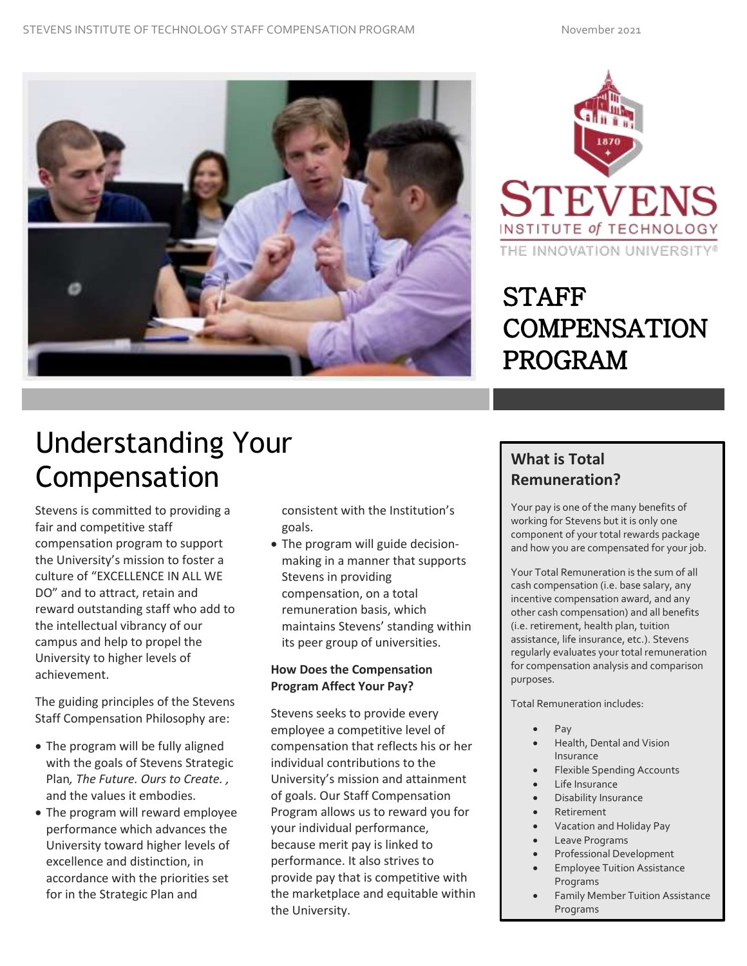



## **STAFF COMPENSATION PROGRAM**

# Understanding Your Compensation

Stevens is committed to providing a fair and competitive staff compensation program to support the University's mission to foster a culture of "EXCELLENCE IN ALL WE DO" and to attract, retain and reward outstanding staff who add to the intellectual vibrancy of our campus and help to propel the University to higher levels of achievement.

The guiding principles of the Stevens Staff Compensation Philosophy are:

- The program will be fully aligned with the goals of Stevens Strategic Plan*, The Future. Ours to Create. ,*  and the values it embodies.
- The program will reward employee performance which advances the University toward higher levels of excellence and distinction, in accordance with the priorities set for in the Strategic Plan and

consistent with the Institution's goals.

• The program will guide decisionmaking in a manner that supports Stevens in providing compensation, on a total remuneration basis, which maintains Stevens' standing within its peer group of universities.

## **How Does the Compensation Program Affect Your Pay?**

Stevens seeks to provide every employee a competitive level of compensation that reflects his or her individual contributions to the University's mission and attainment of goals. Our Staff Compensation Program allows us to reward you for your individual performance, because merit pay is linked to performance. It also strives to provide pay that is competitive with the marketplace and equitable within the University.

## **What is Total Remuneration?**

rogram

Your pay is one of the many benefits of working for Stevens but it is only one component of your total rewards package and how you are compensated for your job.

Your Total Remuneration is the sum of all cash compensation (i.e. base salary, any incentive compensation award, and any other cash compensation) and all benefits (i.e. retirement, health plan, tuition assistance, life insurance, etc.). Stevens regularly evaluates your total remuneration for compensation analysis and comparison purposes.

Total Remuneration includes:

- Pay
- Health, Dental and Vision Insurance
- Flexible Spending Accounts
- Life Insurance
- Disability Insurance
- **Retirement**
- Vacation and Holiday Pay
- Leave Programs
- Professional Development
- Employee Tuition Assistance Programs
- Family Member Tuition Assistance Programs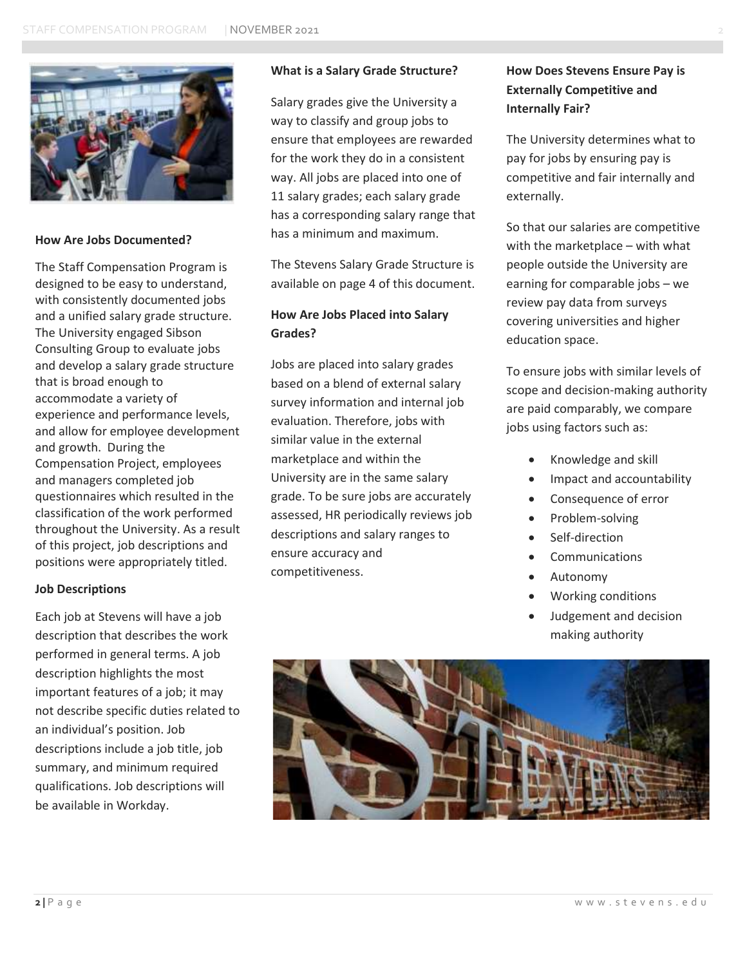

#### **How Are Jobs Documented?**

The Staff Compensation Program is designed to be easy to understand, with consistently documented jobs and a unified salary grade structure. The University engaged Sibson Consulting Group to evaluate jobs and develop a salary grade structure that is broad enough to accommodate a variety of experience and performance levels, and allow for employee development and growth. During the Compensation Project, employees and managers completed job questionnaires which resulted in the classification of the work performed throughout the University. As a result of this project, job descriptions and positions were appropriately titled.

#### **Job Descriptions**

Each job at Stevens will have a job description that describes the work performed in general terms. A job description highlights the most important features of a job; it may not describe specific duties related to an individual's position. Job descriptions include a job title, job summary, and minimum required qualifications. Job descriptions will be available in Workday.

#### **What is a Salary Grade Structure?**

Salary grades give the University a way to classify and group jobs to ensure that employees are rewarded for the work they do in a consistent way. All jobs are placed into one of 11 salary grades; each salary grade has a corresponding salary range that has a minimum and maximum.

The Stevens Salary Grade Structure is available on page 4 of this document.

### **How Are Jobs Placed into Salary Grades?**

Jobs are placed into salary grades based on a blend of external salary survey information and internal job evaluation. Therefore, jobs with similar value in the external marketplace and within the University are in the same salary grade. To be sure jobs are accurately assessed, HR periodically reviews job descriptions and salary ranges to ensure accuracy and competitiveness.

## **How Does Stevens Ensure Pay is Externally Competitive and Internally Fair?**

The University determines what to pay for jobs by ensuring pay is competitive and fair internally and externally.

So that our salaries are competitive with the marketplace – with what people outside the University are earning for comparable jobs – we review pay data from surveys covering universities and higher education space.

To ensure jobs with similar levels of scope and decision-making authority are paid comparably, we compare jobs using factors such as:

- Knowledge and skill
- Impact and accountability
- Consequence of error
- Problem-solving
- Self-direction
- **Communications**
- Autonomy
- Working conditions
- Judgement and decision making authority

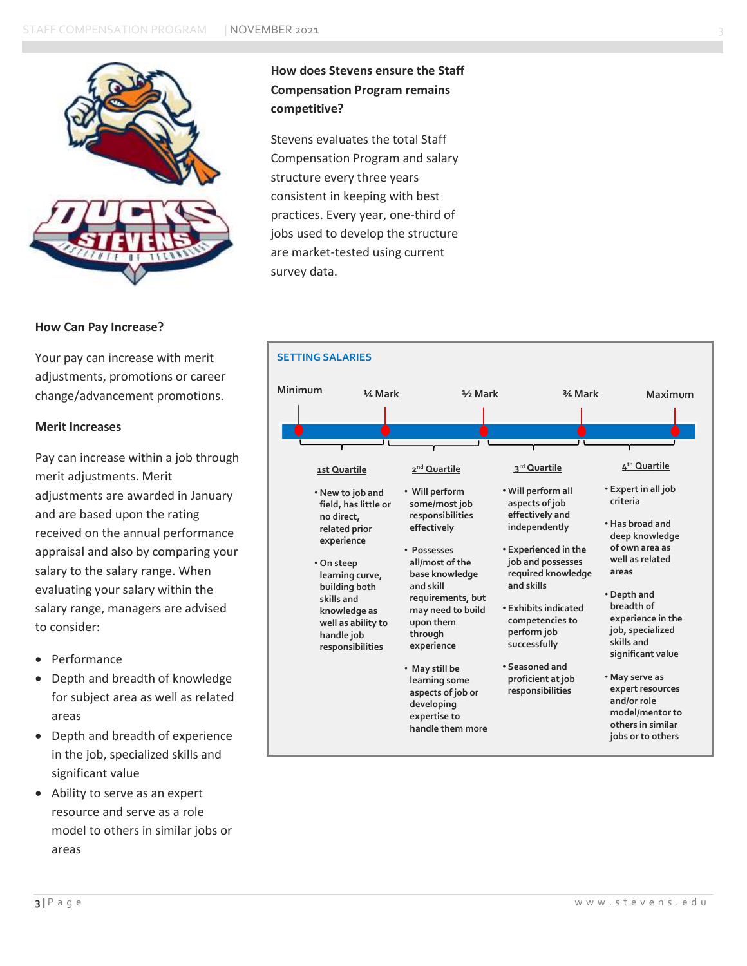

#### **How Can Pay Increase?**

Your pay can increase with merit adjustments, promotions or career change/advancement promotions.

#### **Merit Increases**

Pay can increase within a job through merit adjustments. Merit adjustments are awarded in January and are based upon the rating received on the annual performance appraisal and also by comparing your salary to the salary range. When evaluating your salary within the salary range, managers are advised to consider:

- Performance
- Depth and breadth of knowledge for subject area as well as related areas
- Depth and breadth of experience in the job, specialized skills and significant value
- Ability to serve as an expert resource and serve as a role model to others in similar jobs or areas

## **How does Stevens ensure the Staff Compensation Program remains competitive?**

Stevens evaluates the total Staff Compensation Program and salary structure every three years consistent in keeping with best practices. Every year, one-third of jobs used to develop the structure are market-tested using current survey data.